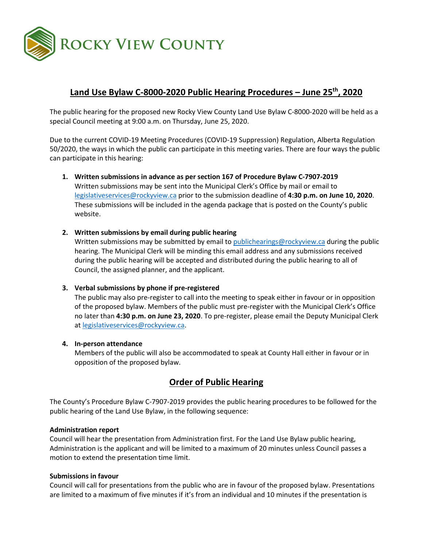

# **Land Use Bylaw C-8000-2020 Public Hearing Procedures – June 25th, 2020**

The public hearing for the proposed new Rocky View County Land Use Bylaw C-8000-2020 will be held as a special Council meeting at 9:00 a.m. on Thursday, June 25, 2020.

Due to the current COVID-19 Meeting Procedures (COVID-19 Suppression) Regulation, Alberta Regulation 50/2020, the ways in which the public can participate in this meeting varies. There are four ways the public can participate in this hearing:

**1. Written submissions in advance as per section 167 of Procedure Bylaw C-7907-2019** Written submissions may be sent into the Municipal Clerk's Office by mail or email to

[legislativeservices@rockyview.ca](mailto:legislativeservices@rockyview.ca) prior to the submission deadline of **4:30 p.m. on June 10, 2020**. These submissions will be included in the agenda package that is posted on the County's public website.

**2. Written submissions by email during public hearing**

Written submissions may be submitted by email to [publichearings@rockyview.ca](mailto:publichearings@rockyview.ca) during the public hearing. The Municipal Clerk will be minding this email address and any submissions received during the public hearing will be accepted and distributed during the public hearing to all of Council, the assigned planner, and the applicant.

### **3. Verbal submissions by phone if pre-registered**

The public may also pre-register to call into the meeting to speak either in favour or in opposition of the proposed bylaw. Members of the public must pre-register with the Municipal Clerk's Office no later than **4:30 p.m. on June 23, 2020**. To pre-register, please email the Deputy Municipal Clerk a[t legislativeservices@rockyview.ca.](mailto:legislativeservices@rockyview.ca)

### **4. In-person attendance**

Members of the public will also be accommodated to speak at County Hall either in favour or in opposition of the proposed bylaw.

## **Order of Public Hearing**

The County's Procedure Bylaw C-7907-2019 provides the public hearing procedures to be followed for the public hearing of the Land Use Bylaw, in the following sequence:

### **Administration report**

Council will hear the presentation from Administration first. For the Land Use Bylaw public hearing, Administration is the applicant and will be limited to a maximum of 20 minutes unless Council passes a motion to extend the presentation time limit.

### **Submissions in favour**

Council will call for presentations from the public who are in favour of the proposed bylaw. Presentations are limited to a maximum of five minutes if it's from an individual and 10 minutes if the presentation is